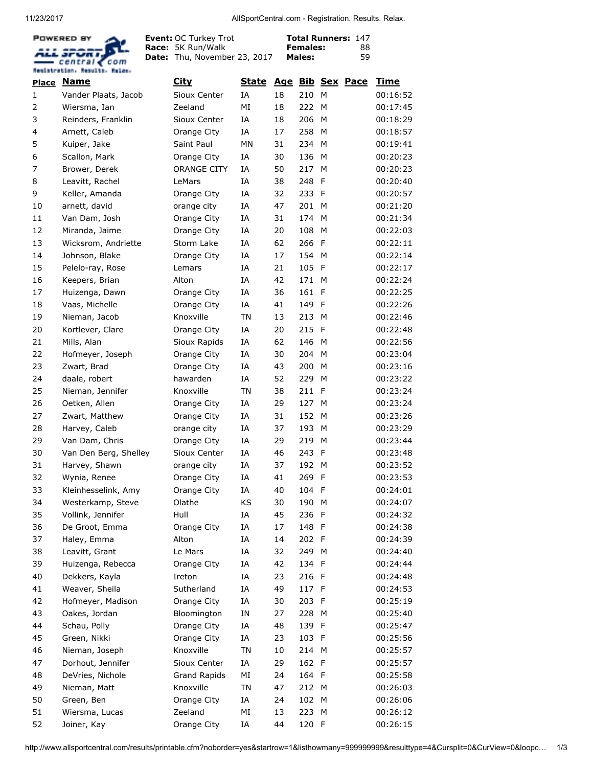11/23/2017 AllSportCentral.com - Registration. Results. Relax.



Event: Race: Date: Thu, November 23, 2017 OC Turkey Trot 5K Run/Walk

Total Runners: 147 Females: Males: 

|              | <b>Place Name</b>     | <u>City</u>         | <u>State</u> |    |       |              | Age Bib Sex Pace | <u>Time</u> |
|--------------|-----------------------|---------------------|--------------|----|-------|--------------|------------------|-------------|
| $\mathbf{1}$ | Vander Plaats, Jacob  | Sioux Center        | ΙA           | 18 | 210   | M            |                  | 00:16:52    |
| 2            | Wiersma, Ian          | Zeeland             | MI           | 18 | 222   | M            |                  | 00:17:45    |
| 3            | Reinders, Franklin    | Sioux Center        | IA           | 18 | 206   | M            |                  | 00:18:29    |
| 4            | Arnett, Caleb         | Orange City         | ΙA           | 17 | 258   | M            |                  | 00:18:57    |
| 5            | Kuiper, Jake          | Saint Paul          | MN           | 31 | 234   | M            |                  | 00:19:41    |
| 6            | Scallon, Mark         | Orange City         | IA           | 30 | 136   | M            |                  | 00:20:23    |
| 7            | Brower, Derek         | ORANGE CITY         | ΙA           | 50 | 217   | M            |                  | 00:20:23    |
| 8            | Leavitt, Rachel       | LeMars              | ΙA           | 38 | 248   | F            |                  | 00:20:40    |
| 9            | Keller, Amanda        | Orange City         | ΙA           | 32 | 233   | F            |                  | 00:20:57    |
| 10           | arnett, david         | orange city         | IA           | 47 | 201   | М            |                  | 00:21:20    |
| 11           | Van Dam, Josh         | Orange City         | ΙA           | 31 | 174   | M            |                  | 00:21:34    |
| 12           | Miranda, Jaime        | Orange City         | ΙA           | 20 | 108   | M            |                  | 00:22:03    |
| 13           | Wicksrom, Andriette   | Storm Lake          | ΙA           | 62 | 266   | E            |                  | 00:22:11    |
| 14           | Johnson, Blake        | Orange City         | IA           | 17 | 154   | м            |                  | 00:22:14    |
| 15           | Pelelo-ray, Rose      | Lemars              | IA           | 21 | 105   | F            |                  | 00:22:17    |
| 16           | Keepers, Brian        | Alton               | IA           | 42 | 171   | M            |                  | 00:22:24    |
| 17           | Huizenga, Dawn        | Orange City         | ΙA           | 36 | 161   | F            |                  | 00:22:25    |
| 18           | Vaas, Michelle        | Orange City         | IA           | 41 | 149   | F            |                  | 00:22:26    |
| 19           | Nieman, Jacob         | Knoxville           | <b>TN</b>    | 13 | 213   | M            |                  | 00:22:46    |
| 20           | Kortlever, Clare      | Orange City         | ΙA           | 20 | 215   | F            |                  | 00:22:48    |
| 21           | Mills, Alan           | Sioux Rapids        | ΙA           | 62 | 146   | M            |                  | 00:22:56    |
| 22           | Hofmeyer, Joseph      | Orange City         | ΙA           | 30 | 204   | M            |                  | 00:23:04    |
| 23           | Zwart, Brad           | Orange City         | ΙA           | 43 | 200   | M            |                  | 00:23:16    |
| 24           | daale, robert         | hawarden            | ΙA           | 52 | 229   | M            |                  | 00:23:22    |
| 25           | Nieman, Jennifer      | Knoxville           | <b>TN</b>    | 38 | 211   | F            |                  | 00:23:24    |
| 26           | Oetken, Allen         | Orange City         | ΙA           | 29 | 127   | M            |                  | 00:23:24    |
| 27           | Zwart, Matthew        | Orange City         | ΙA           | 31 | 152   | M            |                  | 00:23:26    |
| 28           | Harvey, Caleb         | orange city         | IA           | 37 | 193   | M            |                  | 00:23:29    |
| 29           | Van Dam, Chris        | Orange City         | ΙA           | 29 | 219   | M            |                  | 00:23:44    |
| 30           | Van Den Berg, Shelley | Sioux Center        | IA           | 46 | 243   | F            |                  | 00:23:48    |
| 31           | Harvey, Shawn         | orange city         | ΙA           | 37 | 192   | M            |                  | 00:23:52    |
| 32           | Wynia, Renee          | Orange City         | ΙA           | 41 | 269   | -F           |                  | 00:23:53    |
| 33           | Kleinhesselink, Amy   | Orange City         | ΙA           | 40 | 104   | F            |                  | 00:24:01    |
| 34           | Westerkamp, Steve     | Olathe              | KS           | 30 | 190   | M            |                  | 00:24:07    |
| 35           | Vollink, Jennifer     | Hull                | ΙA           | 45 | 236   | $\mathsf{F}$ |                  | 00:24:32    |
| 36           | De Groot, Emma        | Orange City         | ΙA           | 17 | 148 F |              |                  | 00:24:38    |
| 37           | Haley, Emma           | Alton               | ΙA           | 14 | 202 F |              |                  | 00:24:39    |
| 38           | Leavitt, Grant        | Le Mars             | ΙA           | 32 | 249 M |              |                  | 00:24:40    |
| 39           | Huizenga, Rebecca     | Orange City         | ΙA           | 42 | 134 F |              |                  | 00:24:44    |
| 40           | Dekkers, Kayla        | Ireton              | ΙA           | 23 | 216 F |              |                  | 00:24:48    |
| 41           | Weaver, Sheila        | Sutherland          | ΙA           | 49 | 117 F |              |                  | 00:24:53    |
| 42           | Hofmeyer, Madison     | Orange City         | ΙA           | 30 | 203   | F            |                  | 00:25:19    |
| 43           | Oakes, Jordan         | Bloomington         | IN           | 27 | 228   | M            |                  | 00:25:40    |
| 44           | Schau, Polly          | Orange City         | ΙA           | 48 | 139 F |              |                  | 00:25:47    |
| 45           | Green, Nikki          | Orange City         | ΙA           | 23 | 103 F |              |                  | 00:25:56    |
| 46           | Nieman, Joseph        | Knoxville           | <b>TN</b>    | 10 | 214 M |              |                  | 00:25:57    |
| 47           | Dorhout, Jennifer     | Sioux Center        | ΙA           | 29 | 162 F |              |                  | 00:25:57    |
| 48           | DeVries, Nichole      | <b>Grand Rapids</b> | ΜI           | 24 | 164 F |              |                  | 00:25:58    |
| 49           | Nieman, Matt          | Knoxville           | TN           | 47 | 212   | M            |                  | 00:26:03    |
| 50           | Green, Ben            | Orange City         | ΙA           | 24 | 102   | M            |                  | 00:26:06    |
| 51           | Wiersma, Lucas        | Zeeland             | ΜI           | 13 | 223   | M            |                  | 00:26:12    |
| 52           | Joiner, Kay           | Orange City         | ΙA           | 44 | 120 F |              |                  | 00:26:15    |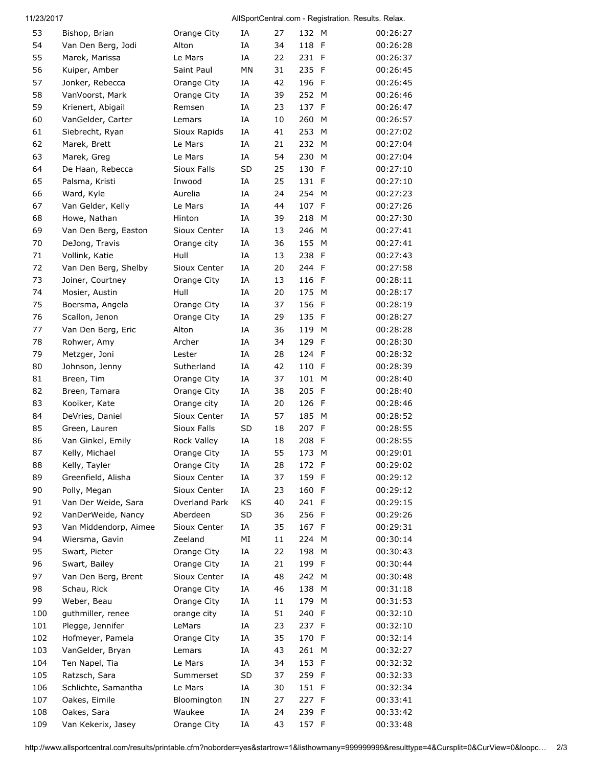## 11/23/2017 AllSportCentral.com - Registration. Results. Relax.

| 53  | Bishop, Brian         | Orange City   | ΙA        | 27 | 132 M |             | 00:26:27 |
|-----|-----------------------|---------------|-----------|----|-------|-------------|----------|
| 54  | Van Den Berg, Jodi    | Alton         | IΑ        | 34 | 118   | F           | 00:26:28 |
| 55  | Marek, Marissa        | Le Mars       | ΙA        | 22 | 231   | F           | 00:26:37 |
| 56  | Kuiper, Amber         | Saint Paul    | <b>MN</b> | 31 | 235   | F           | 00:26:45 |
| 57  | Jonker, Rebecca       | Orange City   | ΙA        | 42 | 196   | F           | 00:26:45 |
| 58  | VanVoorst, Mark       | Orange City   | ΙA        | 39 | 252   | M           | 00:26:46 |
| 59  | Krienert, Abigail     | Remsen        | IA        | 23 | 137   | F           | 00:26:47 |
| 60  | VanGelder, Carter     | Lemars        | IΑ        | 10 | 260   | М           | 00:26:57 |
| 61  | Siebrecht, Ryan       | Sioux Rapids  | IA        | 41 | 253   | M           | 00:27:02 |
| 62  | Marek, Brett          | Le Mars       | ΙA        | 21 | 232   | M           | 00:27:04 |
| 63  | Marek, Greg           | Le Mars       | IA        | 54 | 230   | M           | 00:27:04 |
| 64  | De Haan, Rebecca      | Sioux Falls   | SD        | 25 | 130   | F           | 00:27:10 |
| 65  | Palsma, Kristi        | Inwood        | ΙA        | 25 | 131   | F           | 00:27:10 |
| 66  | Ward, Kyle            | Aurelia       | ΙA        | 24 | 254   | м           | 00:27:23 |
| 67  | Van Gelder, Kelly     | Le Mars       | IA        | 44 | 107   | F           | 00:27:26 |
| 68  | Howe, Nathan          | Hinton        | ΙA        | 39 | 218   | M           | 00:27:30 |
|     |                       |               |           |    | 246   | М           | 00:27:41 |
| 69  | Van Den Berg, Easton  | Sioux Center  | ΙA        | 13 |       |             |          |
| 70  | DeJong, Travis        | Orange city   | ΙA        | 36 | 155   | M           | 00:27:41 |
| 71  | Vollink, Katie        | Hull          | ΙA        | 13 | 238   | F           | 00:27:43 |
| 72  | Van Den Berg, Shelby  | Sioux Center  | ΙA        | 20 | 244   | F           | 00:27:58 |
| 73  | Joiner, Courtney      | Orange City   | IA        | 13 | 116   | F           | 00:28:11 |
| 74  | Mosier, Austin        | Hull          | ΙA        | 20 | 175   | M           | 00:28:17 |
| 75  | Boersma, Angela       | Orange City   | IA        | 37 | 156   | F           | 00:28:19 |
| 76  | Scallon, Jenon        | Orange City   | ΙA        | 29 | 135   | F           | 00:28:27 |
| 77  | Van Den Berg, Eric    | Alton         | IA        | 36 | 119   | M           | 00:28:28 |
| 78  | Rohwer, Amy           | Archer        | IΑ        | 34 | 129   | F           | 00:28:30 |
| 79  | Metzger, Joni         | Lester        | IA        | 28 | 124   | F           | 00:28:32 |
| 80  | Johnson, Jenny        | Sutherland    | ΙA        | 42 | 110   | F           | 00:28:39 |
| 81  | Breen, Tim            | Orange City   | ΙA        | 37 | 101   | M           | 00:28:40 |
| 82  | Breen, Tamara         | Orange City   | ΙA        | 38 | 205   | F           | 00:28:40 |
| 83  | Kooiker, Kate         | Orange city   | ΙA        | 20 | 126   | F           | 00:28:46 |
| 84  | DeVries, Daniel       | Sioux Center  | ΙA        | 57 | 185   | M           | 00:28:52 |
| 85  | Green, Lauren         | Sioux Falls   | <b>SD</b> | 18 | 207   | F           | 00:28:55 |
| 86  | Van Ginkel, Emily     | Rock Valley   | ΙA        | 18 | 208   | F           | 00:28:55 |
| 87  | Kelly, Michael        | Orange City   | IΑ        | 55 | 173   | M           | 00:29:01 |
| 88  | Kelly, Tayler         | Orange City   | IΑ        | 28 | 172 F |             | 00:29:02 |
| 89  | Greenfield, Alisha    | Sioux Center  | ΙA        | 37 | 159 F |             | 00:29:12 |
| 90  | Polly, Megan          | Sioux Center  | IA        | 23 | 160   | F           | 00:29:12 |
| 91  | Van Der Weide, Sara   | Overland Park | KS        | 40 | 241 F |             | 00:29:15 |
| 92  | VanDerWeide, Nancy    | Aberdeen      | <b>SD</b> | 36 | 256 F |             | 00:29:26 |
| 93  | Van Middendorp, Aimee | Sioux Center  | ΙA        | 35 | 167   | -F          | 00:29:31 |
| 94  | Wiersma, Gavin        | Zeeland       | ΜI        | 11 | 224   | М           | 00:30:14 |
| 95  | Swart, Pieter         | Orange City   | ΙA        | 22 | 198   | М           | 00:30:43 |
| 96  | Swart, Bailey         | Orange City   | ΙA        | 21 | 199   | F           | 00:30:44 |
| 97  | Van Den Berg, Brent   | Sioux Center  | ΙA        | 48 | 242   | М           | 00:30:48 |
| 98  | Schau, Rick           | Orange City   | ΙA        | 46 | 138   | М           | 00:31:18 |
| 99  | Weber, Beau           | Orange City   | ΙA        | 11 | 179   | М           | 00:31:53 |
| 100 | guthmiller, renee     | orange city   | ΙA        | 51 | 240   | F           | 00:32:10 |
| 101 | Plegge, Jennifer      | LeMars        | ΙA        | 23 | 237 F |             | 00:32:10 |
| 102 | Hofmeyer, Pamela      | Orange City   | ΙA        | 35 | 170   | -F          | 00:32:14 |
| 103 | VanGelder, Bryan      | Lemars        | ΙA        | 43 | 261   | М           | 00:32:27 |
| 104 | Ten Napel, Tia        | Le Mars       | ΙA        | 34 | 153   | $\mathsf F$ | 00:32:32 |
| 105 | Ratzsch, Sara         | Summerset     | SD        | 37 | 259   | F           | 00:32:33 |
|     | Schlichte, Samantha   | Le Mars       | ΙA        | 30 |       | F           |          |
| 106 |                       |               |           |    | 151   |             | 00:32:34 |
| 107 | Oakes, Eimile         | Bloomington   | ΙN        | 27 | 227 F |             | 00:33:41 |
| 108 | Oakes, Sara           | Waukee        | ΙA        | 24 | 239 F |             | 00:33:42 |
| 109 | Van Kekerix, Jasey    | Orange City   | ΙA        | 43 | 157 F |             | 00:33:48 |